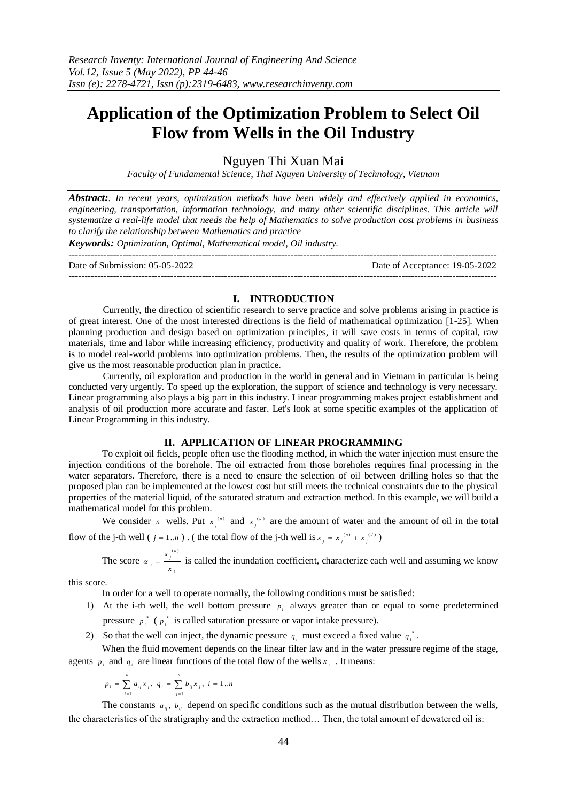# **Application of the Optimization Problem to Select Oil Flow from Wells in the Oil Industry**

Nguyen Thi Xuan Mai

*Faculty of Fundamental Science, Thai Nguyen University of Technology, Vietnam*

*Abstract:. In recent years, optimization methods have been widely and effectively applied in economics,*  engineering, transportation, information technology, and many other scientific disciplines. This article will *systematize a real-life model that needs the help of Mathematics to solve production cost problems in business to clarify the relationship between Mathematics and practice*

*Keywords: Optimization, Optimal, Mathematical model, Oil industry.*

--------------------------------------------------------------------------------------------------------------------------------------- Date of Submission: 05-05-2022 Date of Acceptance: 19-05-2022 ---------------------------------------------------------------------------------------------------------------------------------------

## **I. INTRODUCTION**

Currently, the direction of scientific research to serve practice and solve problems arising in practice is of great interest. One of the most interested directions is the field of mathematical optimization [1-25]. When planning production and design based on optimization principles, it will save costs in terms of capital, raw materials, time and labor while increasing efficiency, productivity and quality of work. Therefore, the problem is to model real-world problems into optimization problems. Then, the results of the optimization problem will give us the most reasonable production plan in practice.

Currently, oil exploration and production in the world in general and in Vietnam in particular is being conducted very urgently. To speed up the exploration, the support of science and technology is very necessary. Linear programming also plays a big part in this industry. Linear programming makes project establishment and analysis of oil production more accurate and faster. Let's look at some specific examples of the application of Linear Programming in this industry.

# **II. APPLICATION OF LINEAR PROGRAMMING**

To exploit oil fields, people often use the flooding method, in which the water injection must ensure the injection conditions of the borehole. The oil extracted from those boreholes requires final processing in the water separators. Therefore, there is a need to ensure the selection of oil between drilling holes so that the proposed plan can be implemented at the lowest cost but still meets the technical constraints due to the physical properties of the material liquid, of the saturated stratum and extraction method. In this example, we will build a mathematical model for this problem.

We consider *n* wells. Put  $x_j^{(n)}$  and  $x_j^{(d)}$  are the amount of water and the amount of oil in the total flow of the j-th well ( $j = 1..n$ ). (the total flow of the j-th well is  $x_j = x_j^{(n)} + x_j^{(d)}$ )

The score  $\alpha_j = \frac{x_j^{(n)}}{n}$ *x*  $\alpha_i = \frac{n_i}{x_i}$  is called the inundation coefficient, characterize each well and assuming we know

this score.

In order for a well to operate normally, the following conditions must be satisfied:

- 1) At the i-th well, the well bottom pressure  $p_i$  always greater than or equal to some predetermined pressure  $p_i^*$  ( $p_i^*$  is called saturation pressure or vapor intake pressure).
- 2) So that the well can inject, the dynamic pressure  $q_i$  must exceed a fixed value  $q_i^*$ .

When the fluid movement depends on the linear filter law and in the water pressure regime of the stage, agents  $p_i$  and  $q_i$  are linear functions of the total flow of the wells  $x_j$ . It means:

$$
p_i = \sum_{j=1}^n a_{ij} x_j, \ q_i = \sum_{j=1}^n b_{ij} x_j, \ i = 1...n
$$

The constants  $a_{ij}$ ,  $b_{ij}$  depend on specific conditions such as the mutual distribution between the wells, the characteristics of the stratigraphy and the extraction method… Then, the total amount of dewatered oil is: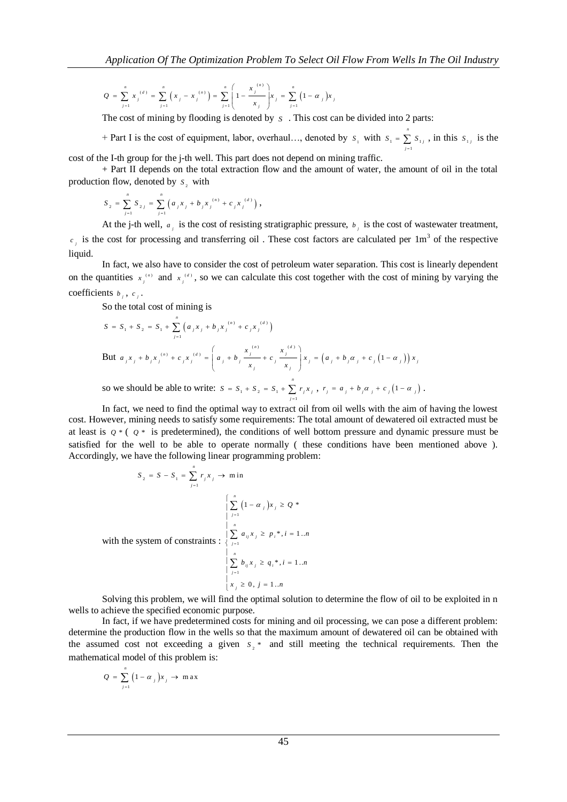$$
Q = \sum_{j=1}^{n} x_{j}^{(d)} = \sum_{j=1}^{n} \left( x_{j} - x_{j}^{(n)} \right) = \sum_{j=1}^{n} \left( 1 - \frac{x_{j}^{(n)}}{x_{j}} \right) x_{j} = \sum_{j=1}^{n} \left( 1 - \alpha_{j} \right) x_{j}
$$

The cost of mining by flooding is denoted by  $s$ . This cost can be divided into 2 parts:

+ Part I is the cost of equipment, labor, overhaul…, denoted by  $s_1$  with  $s_1 = \sum s_1$ 1 *n*  $S_1 = \sum S_{1j}$ , in this  $S_{1j}$  is the *j*  $\overline{a}$ cost of the I-th group for the j-th well. This part does not depend on mining traffic.

+ Part II depends on the total extraction flow and the amount of water, the amount of oil in the total production flow, denoted by  $s_2$  with

$$
S_2 = \sum_{j=1}^n S_{2j} = \sum_{j=1}^n \left( a_j x_j + b_j x_j^{(n)} + c_j x_j^{(d)} \right),
$$

At the j-th well,  $a_j$  is the cost of resisting stratigraphic pressure,  $b_j$  is the cost of wastewater treatment,  $c_i$  is the cost for processing and transferring oil. These cost factors are calculated per 1m<sup>3</sup> of the respective liquid.

In fact, we also have to consider the cost of petroleum water separation. This cost is linearly dependent on the quantities  $x_j^{(n)}$  and  $x_j^{(d)}$ , so we can calculate this cost together with the cost of mining by varying the coefficients  $b_j$ ,  $c_j$ .

So the total cost of mining is

$$
S = S_1 + S_2 = S_1 + \sum_{j=1}^{n} (a_j x_j + b_j x_j^{(a)} + c_j x_j^{(a)})
$$
  
But  $a_j x_j + b_j x_j^{(n)} + c_j x_j^{(a)} = \left(a_j + b_j \frac{x_j^{(a)}}{x_j} + c_j \frac{x_j^{(a)}}{x_j}\right) x_j = \left(a_j + b_j \alpha_j + c_j \left(1 - \alpha_j\right)\right) x_j$   
so we should be able to write:  $S = S_1 + S_2 = S_1 + \sum_{j=1}^{n} r_j x_j$ ,  $r_j = a_j + b_j \alpha_j + c_j \left(1 - \alpha_j\right)$ .

In fact, we need to find the optimal way to extract oil from oil wells with the aim of having the lowest cost. However, mining needs to satisfy some requirements: The total amount of dewatered oil extracted must be at least is  $q * (q * is predetermined)$ , the conditions of well bottom pressure and dynamic pressure must be satisfied for the well to be able to operate normally ( these conditions have been mentioned above ). Accordingly, we have the following linear programming problem:

$$
S_2 = S - S_1 = \sum_{j=1}^{n} r_j x_j \to \text{min}
$$
\n
$$
\left\{ \sum_{j=1}^{n} (1 - \alpha_j) x_j \ge Q^* \right\}
$$
\nwith the system of constraints : 
$$
\left\{ \sum_{j=1}^{n} a_{ij} x_j \ge p_i^*, i = 1..n \right\}
$$
\n
$$
\left\{ \sum_{j=1}^{n} b_{ij} x_j \ge q_i^*, i = 1..n \right\}
$$
\n
$$
\left\{ \sum_{j=1}^{n} b_{ij} x_j \ge q_i^*, i = 1..n \right\}
$$
\n
$$
\left\{ x_j \ge 0, j = 1..n \right\}
$$

*n*

Solving this problem, we will find the optimal solution to determine the flow of oil to be exploited in n wells to achieve the specified economic purpose.

In fact, if we have predetermined costs for mining and oil processing, we can pose a different problem: determine the production flow in the wells so that the maximum amount of dewatered oil can be obtained with the assumed cost not exceeding a given  $s<sub>2</sub>$ <sup>\*</sup> and still meeting the technical requirements. Then the mathematical model of this problem is:

$$
Q = \sum_{j=1}^{n} (1 - \alpha_j)x_j \to \max
$$